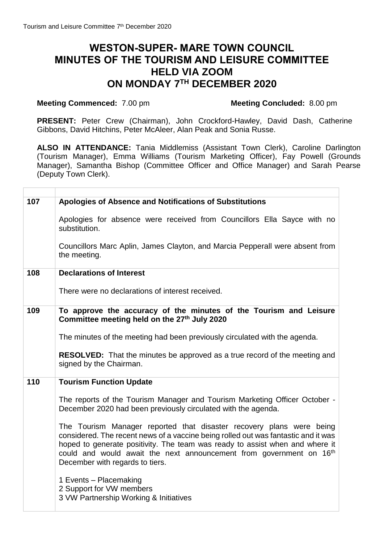## **WESTON-SUPER- MARE TOWN COUNCIL MINUTES OF THE TOURISM AND LEISURE COMMITTEE HELD VIA ZOOM ON MONDAY 7 TH DECEMBER 2020**

## **Meeting Commenced:** 7.00 pm<br>**Meeting Concluded:** 8.00 pm

**PRESENT:** Peter Crew (Chairman), John Crockford-Hawley, David Dash, Catherine Gibbons, David Hitchins, Peter McAleer, Alan Peak and Sonia Russe.

**ALSO IN ATTENDANCE:** Tania Middlemiss (Assistant Town Clerk), Caroline Darlington (Tourism Manager), Emma Williams (Tourism Marketing Officer), Fay Powell (Grounds Manager), Samantha Bishop (Committee Officer and Office Manager) and Sarah Pearse (Deputy Town Clerk).

| 107 | Apologies of Absence and Notifications of Substitutions<br>Apologies for absence were received from Councillors Ella Sayce with no<br>substitution.<br>Councillors Marc Aplin, James Clayton, and Marcia Pepperall were absent from<br>the meeting.                                                                                                              |
|-----|------------------------------------------------------------------------------------------------------------------------------------------------------------------------------------------------------------------------------------------------------------------------------------------------------------------------------------------------------------------|
| 108 | <b>Declarations of Interest</b>                                                                                                                                                                                                                                                                                                                                  |
|     | There were no declarations of interest received.                                                                                                                                                                                                                                                                                                                 |
| 109 | To approve the accuracy of the minutes of the Tourism and Leisure<br>Committee meeting held on the 27th July 2020                                                                                                                                                                                                                                                |
|     | The minutes of the meeting had been previously circulated with the agenda.                                                                                                                                                                                                                                                                                       |
|     | <b>RESOLVED:</b> That the minutes be approved as a true record of the meeting and<br>signed by the Chairman.                                                                                                                                                                                                                                                     |
| 110 | <b>Tourism Function Update</b>                                                                                                                                                                                                                                                                                                                                   |
|     | The reports of the Tourism Manager and Tourism Marketing Officer October -<br>December 2020 had been previously circulated with the agenda.                                                                                                                                                                                                                      |
|     | The Tourism Manager reported that disaster recovery plans were being<br>considered. The recent news of a vaccine being rolled out was fantastic and it was<br>hoped to generate positivity. The team was ready to assist when and where it<br>could and would await the next announcement from government on 16 <sup>th</sup><br>December with regards to tiers. |
|     | 1 Events - Placemaking<br>2 Support for VW members<br>3 VW Partnership Working & Initiatives                                                                                                                                                                                                                                                                     |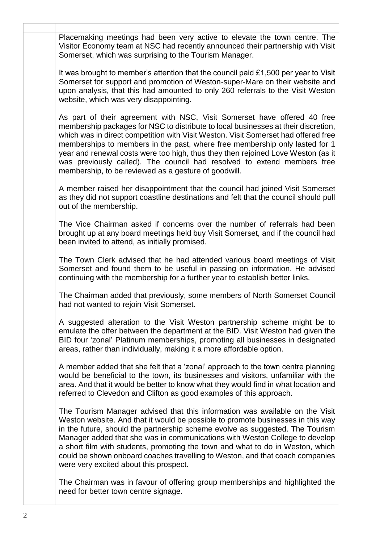**x x** Placemaking meetings had been very active to elevate the town centre. The Visitor Economy team at NSC had recently announced their partnership with Visit Somerset, which was surprising to the Tourism Manager.

> It was brought to member's attention that the council paid £1,500 per year to Visit Somerset for support and promotion of Weston-super-Mare on their website and upon analysis, that this had amounted to only 260 referrals to the Visit Weston website, which was very disappointing.

> As part of their agreement with NSC, Visit Somerset have offered 40 free membership packages for NSC to distribute to local businesses at their discretion, which was in direct competition with Visit Weston. Visit Somerset had offered free memberships to members in the past, where free membership only lasted for 1 year and renewal costs were too high, thus they then rejoined Love Weston (as it was previously called). The council had resolved to extend members free membership, to be reviewed as a gesture of goodwill.

> A member raised her disappointment that the council had joined Visit Somerset as they did not support coastline destinations and felt that the council should pull out of the membership.

> The Vice Chairman asked if concerns over the number of referrals had been brought up at any board meetings held buy Visit Somerset, and if the council had been invited to attend, as initially promised.

> The Town Clerk advised that he had attended various board meetings of Visit Somerset and found them to be useful in passing on information. He advised continuing with the membership for a further year to establish better links.

> The Chairman added that previously, some members of North Somerset Council had not wanted to rejoin Visit Somerset.

> A suggested alteration to the Visit Weston partnership scheme might be to emulate the offer between the department at the BID. Visit Weston had given the BID four 'zonal' Platinum memberships, promoting all businesses in designated areas, rather than individually, making it a more affordable option.

> A member added that she felt that a 'zonal' approach to the town centre planning would be beneficial to the town, its businesses and visitors, unfamiliar with the area. And that it would be better to know what they would find in what location and referred to Clevedon and Clifton as good examples of this approach.

> The Tourism Manager advised that this information was available on the Visit Weston website. And that it would be possible to promote businesses in this way in the future, should the partnership scheme evolve as suggested. The Tourism Manager added that she was in communications with Weston College to develop a short film with students, promoting the town and what to do in Weston, which could be shown onboard coaches travelling to Weston, and that coach companies were very excited about this prospect.

> The Chairman was in favour of offering group memberships and highlighted the need for better town centre signage.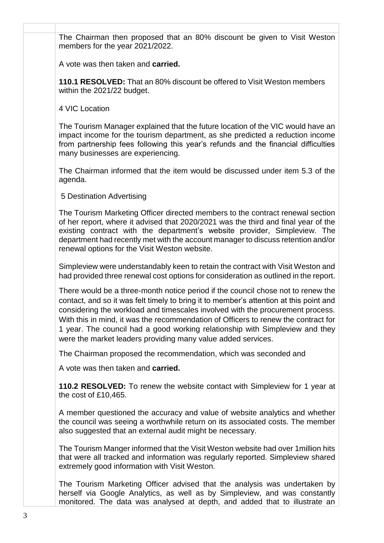**x x** The Chairman then proposed that an 80% discount be given to Visit Weston members for the year 2021/2022.

A vote was then taken and **carried.**

**110.1 RESOLVED:** That an 80% discount be offered to Visit Weston members within the 2021/22 budget.

4 VIC Location

The Tourism Manager explained that the future location of the VIC would have an impact income for the tourism department, as she predicted a reduction income from partnership fees following this year's refunds and the financial difficulties many businesses are experiencing.

The Chairman informed that the item would be discussed under item 5.3 of the agenda.

5 Destination Advertising

The Tourism Marketing Officer directed members to the contract renewal section of her report, where it advised that 2020/2021 was the third and final year of the existing contract with the department's website provider, Simpleview. The department had recently met with the account manager to discuss retention and/or renewal options for the Visit Weston website.

Simpleview were understandably keen to retain the contract with Visit Weston and had provided three renewal cost options for consideration as outlined in the report.

There would be a three-month notice period if the council chose not to renew the contact, and so it was felt timely to bring it to member's attention at this point and considering the workload and timescales involved with the procurement process. With this in mind, it was the recommendation of Officers to renew the contract for 1 year. The council had a good working relationship with Simpleview and they were the market leaders providing many value added services.

The Chairman proposed the recommendation, which was seconded and

A vote was then taken and **carried.**

**110.2 RESOLVED:** To renew the website contact with Simpleview for 1 year at the cost of £10,465.

A member questioned the accuracy and value of website analytics and whether the council was seeing a worthwhile return on its associated costs. The member also suggested that an external audit might be necessary.

The Tourism Manger informed that the Visit Weston website had over 1million hits that were all tracked and information was regularly reported. Simpleview shared extremely good information with Visit Weston.

The Tourism Marketing Officer advised that the analysis was undertaken by herself via Google Analytics, as well as by Simpleview, and was constantly monitored. The data was analysed at depth, and added that to illustrate an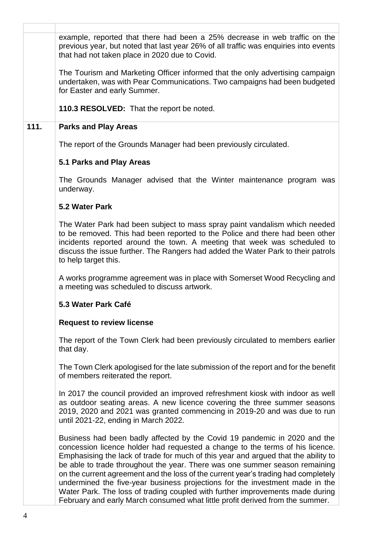|      | example, reported that there had been a 25% decrease in web traffic on the<br>previous year, but noted that last year 26% of all traffic was enquiries into events<br>that had not taken place in 2020 due to Covid.                                                                                                                                                                                                                                                                                                                                                                                                                                                    |
|------|-------------------------------------------------------------------------------------------------------------------------------------------------------------------------------------------------------------------------------------------------------------------------------------------------------------------------------------------------------------------------------------------------------------------------------------------------------------------------------------------------------------------------------------------------------------------------------------------------------------------------------------------------------------------------|
|      | The Tourism and Marketing Officer informed that the only advertising campaign<br>undertaken, was with Pear Communications. Two campaigns had been budgeted<br>for Easter and early Summer.                                                                                                                                                                                                                                                                                                                                                                                                                                                                              |
|      | 110.3 RESOLVED: That the report be noted.                                                                                                                                                                                                                                                                                                                                                                                                                                                                                                                                                                                                                               |
| 111. | <b>Parks and Play Areas</b>                                                                                                                                                                                                                                                                                                                                                                                                                                                                                                                                                                                                                                             |
|      | The report of the Grounds Manager had been previously circulated.                                                                                                                                                                                                                                                                                                                                                                                                                                                                                                                                                                                                       |
|      | 5.1 Parks and Play Areas                                                                                                                                                                                                                                                                                                                                                                                                                                                                                                                                                                                                                                                |
|      | The Grounds Manager advised that the Winter maintenance program was<br>underway.                                                                                                                                                                                                                                                                                                                                                                                                                                                                                                                                                                                        |
|      | 5.2 Water Park                                                                                                                                                                                                                                                                                                                                                                                                                                                                                                                                                                                                                                                          |
|      | The Water Park had been subject to mass spray paint vandalism which needed<br>to be removed. This had been reported to the Police and there had been other<br>incidents reported around the town. A meeting that week was scheduled to<br>discuss the issue further. The Rangers had added the Water Park to their patrols<br>to help target this.                                                                                                                                                                                                                                                                                                                      |
|      | A works programme agreement was in place with Somerset Wood Recycling and<br>a meeting was scheduled to discuss artwork.                                                                                                                                                                                                                                                                                                                                                                                                                                                                                                                                                |
|      | 5.3 Water Park Café                                                                                                                                                                                                                                                                                                                                                                                                                                                                                                                                                                                                                                                     |
|      | <b>Request to review license</b>                                                                                                                                                                                                                                                                                                                                                                                                                                                                                                                                                                                                                                        |
|      | The report of the Town Clerk had been previously circulated to members earlier<br>that day.                                                                                                                                                                                                                                                                                                                                                                                                                                                                                                                                                                             |
|      | The Town Clerk apologised for the late submission of the report and for the benefit<br>of members reiterated the report.                                                                                                                                                                                                                                                                                                                                                                                                                                                                                                                                                |
|      | In 2017 the council provided an improved refreshment kiosk with indoor as well<br>as outdoor seating areas. A new licence covering the three summer seasons<br>2019, 2020 and 2021 was granted commencing in 2019-20 and was due to run<br>until 2021-22, ending in March 2022.                                                                                                                                                                                                                                                                                                                                                                                         |
|      | Business had been badly affected by the Covid 19 pandemic in 2020 and the<br>concession licence holder had requested a change to the terms of his licence.<br>Emphasising the lack of trade for much of this year and argued that the ability to<br>be able to trade throughout the year. There was one summer season remaining<br>on the current agreement and the loss of the current year's trading had completely<br>undermined the five-year business projections for the investment made in the<br>Water Park. The loss of trading coupled with further improvements made during<br>February and early March consumed what little profit derived from the summer. |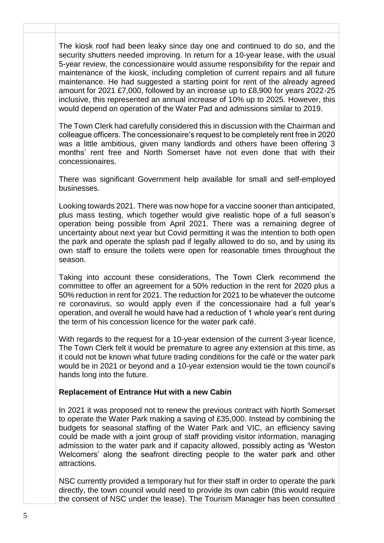The kiosk roof had been leaky since day one and continued to do so, and the security shutters needed improving. In return for a 10-year lease, with the usual 5-year review, the concessionaire would assume responsibility for the repair and maintenance of the kiosk, including completion of current repairs and all future maintenance. He had suggested a starting point for rent of the already agreed amount for 2021 £7,000, followed by an increase up to £8,900 for years 2022-25 inclusive, this represented an annual increase of 10% up to 2025. However, this would depend on operation of the Water Pad and admissions similar to 2019.

The Town Clerk had carefully considered this in discussion with the Chairman and colleague officers. The concessionaire's request to be completely rent free in 2020 was a little ambitious, given many landlords and others have been offering 3 months' rent free and North Somerset have not even done that with their concessionaires.

There was significant Government help available for small and self-employed businesses.

Looking towards 2021. There was now hope for a vaccine sooner than anticipated, plus mass testing, which together would give realistic hope of a full season's operation being possible from April 2021. There was a remaining degree of uncertainty about next year but Covid permitting it was the intention to both open the park and operate the splash pad if legally allowed to do so, and by using its own staff to ensure the toilets were open for reasonable times throughout the season.

Taking into account these considerations, The Town Clerk recommend the committee to offer an agreement for a 50% reduction in the rent for 2020 plus a 50% reduction in rent for 2021. The reduction for 2021 to be whatever the outcome re coronavirus, so would apply even if the concessionaire had a full year's operation, and overall he would have had a reduction of 1 whole year's rent during the term of his concession licence for the water park café.

With regards to the request for a 10-year extension of the current 3-year licence, The Town Clerk felt it would be premature to agree any extension at this time, as it could not be known what future trading conditions for the café or the water park would be in 2021 or beyond and a 10-year extension would tie the town council's hands long into the future.

## **Replacement of Entrance Hut with a new Cabin**

In 2021 it was proposed not to renew the previous contract with North Somerset to operate the Water Park making a saving of £35,000. Instead by combining the budgets for seasonal staffing of the Water Park and VIC, an efficiency saving could be made with a joint group of staff providing visitor information, managing admission to the water park and if capacity allowed, possibly acting as 'Weston Welcomers' along the seafront directing people to the water park and other attractions.

NSC currently provided a temporary hut for their staff in order to operate the park directly, the town council would need to provide its own cabin (this would require the consent of NSC under the lease). The Tourism Manager has been consulted

**x x**